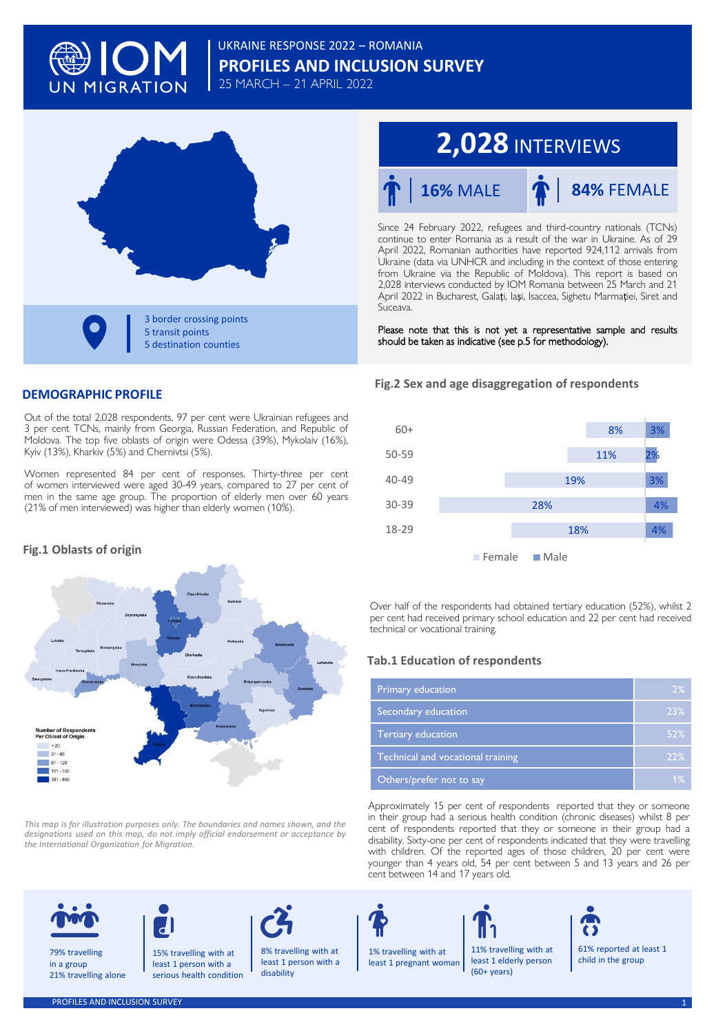

# **PROFILES AND INCLUSION SURVEY** UKRAINE RESPONSE 2022 – ROMANIA 25 MARCH – 21 APRIL 2022

**3 border crossing points** 5 transit points **5 destination counties** 

# **2,028** INTERVIEWS



Since 24 February 2022, refugees and third-country nationals (TCNs) continue to enter Romania as a result of the war in Ukraine. As of 29 April 2022, Romanian authorities have reported 924,112 arrivals from Ukraine (data via UNHCR and including in the context of those entering from Ukraine via the Republic of Moldova). This report is based on 2,028 interviews conducted by IOM Romania between 25 March and 21 April 2022 in Bucharest, Galați, Iași, Isaccea, Sighetu Marmației, Siret and Suceava.

Please note that this is not yet a representative sample and results should be taken as indicative (see p.5 for methodology).

# **DEMOGRAPHIC PROFILE**

Out of the total 2,028 respondents, 97 per cent were Ukrainian refugees and 3 per cent TCNs, mainly from Georgia, Russian Federation, and Republic of Moldova. The top five oblasts of origin were Odessa (39%), Mykolaiv (16%), Kyiv (13%), Kharkiv (5%) and Chernivtsi (5%).

Women represented 84 per cent of responses. Thirty-three per cent of women interviewed were aged 30-49 years, compared to 27 per cent of men in the same age group. The proportion of elderly men over 60 years (21% of men interviewed) was higher than elderly women (10%).

# **Fig.1 Oblasts of origin**



*This map is for illustration purposes only. The boundaries and names shown, and the* designations used on this map, do not imply official endorsement or acceptance by<br>the International Organization for Migration.

#### **Fig.2 Sex and age disaggregation of respondents**



Over half of the respondents had obtained tertiary education (52%), whilst 2 per cent had received primary school education and 22 per cent had received technical or vocational training.

# **Tab.1 Education of respondents**

| Primary education                 | 2%  |
|-----------------------------------|-----|
| Secondary education               | 23% |
| Tertiary education                | 52% |
| Technical and vocational training | 22% |
| Others/prefer not to say          | 1%  |

Approximately 15 per cent of respondents reported that they or someone in their group had a serious health condition (chronic diseases) whilst 8 per cent of respondents reported that they or someone in their group had a disability. Sixty-one per cent of respondents indicated that they were travelling with children. Of the reported ages of those children, 20 per cent were younger than 4 years old, 54 per cent between 5 and 13 years and 26 per cent between 14 and 17 years old.



79% travelling in a group 21% travelling alone



15% travelling with at least 1 person with a serious health condition



least 1 person with a disability



least 1 pregnant woman

11% travelling with at least 1 elderly person (60+ years)



61% reported at least 1 child in the group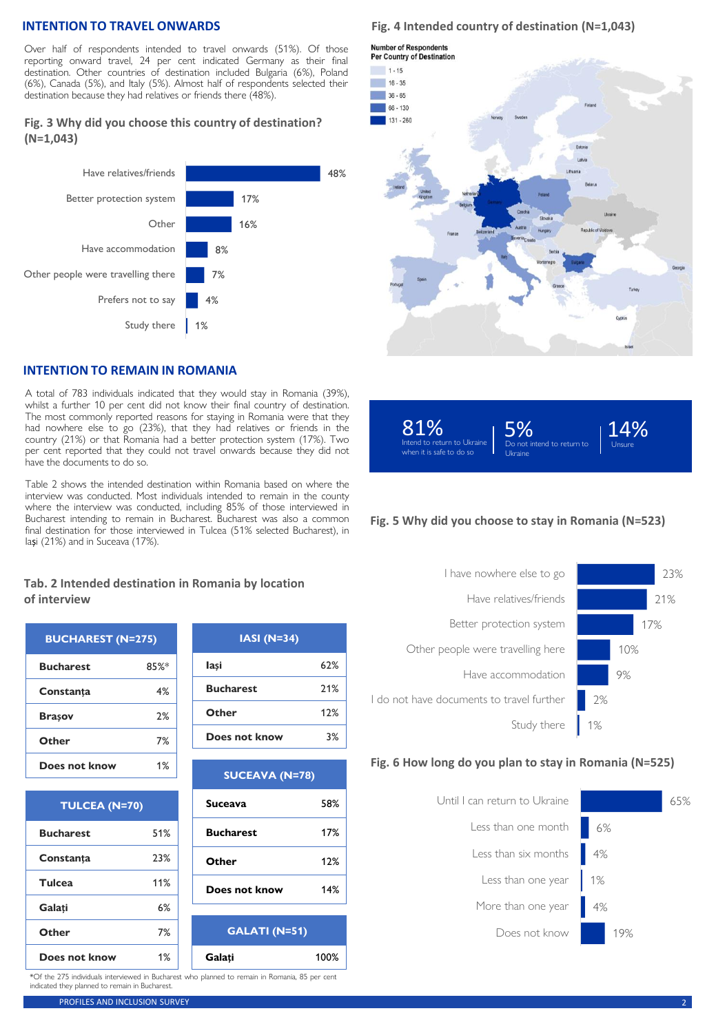# **INTENTION TO TRAVEL ONWARDS**

Over half of respondents intended to travel onwards (51%). Of those reporting onward travel, 24 per cent indicated Germany as their final destination. Other countries of destination included Bulgaria (6%), Poland (6%), Canada (5%), and Italy (5%). Almost half of respondents selected their destination because they had relatives or friends there (48%).

# **Fig. 3 Why did you choose this country of destination? (N=1,043)**



# **INTENTION TO REMAIN IN ROMANIA**

A total of 783 individuals indicated that they would stay in Romania (39%), whilst a further 10 per cent did not know their final country of destination. The most commonly reported reasons for staying in Romania were that they had nowhere else to go (23%), that they had relatives or friends in the country (21%) or that Romania had a better protection system (17%). Two per cent reported that they could not travel onwards because they did not have the documents to do so.

Table 2 shows the intended destination within Romania based on where the interview was conducted. Most individuals intended to remain in the county where the interview was conducted, including 85% of those interviewed in Bucharest intending to remain in Bucharest. Bucharest was also a common final destination for those interviewed in Tulcea (51% selected Bucharest), in Iași (21%) and in Suceava (17%).

# **Fig. 4 Intended country of destination (N=1,043)**







# **Fig. 5 Why did you choose to stay in Romania (N=523)**



#### **Fig. 6 How long do you plan to stay in Romania (N=525)**



#### **Tab. 2 Intended destination in Romania by location of interview**

| <b>BUCHAREST (N=275)</b> |      |
|--------------------------|------|
| <b>Bucharest</b>         | 85%* |
| Constanta                | 4%   |
| Brasov                   | 2%   |
| Other                    | 7%   |
| Does not know            | 1%   |

| <b>TULCEA (N=70)</b> |     |  |
|----------------------|-----|--|
| <b>Bucharest</b>     | 51% |  |
| Constanta            | 23% |  |
| Tulcea               | 11% |  |
| Galati               | 6%  |  |
| Other                | 7%  |  |
| Does not know        | 1%  |  |

| $IASI (N=34)$    |     |
|------------------|-----|
| lasi             | 62% |
| <b>Bucharest</b> | 21% |
| Other            | 12% |
| Does not know    | 3%  |

| <b>SUCEAVA (N=78)</b> |     |
|-----------------------|-----|
| <b>Suceava</b>        | 58% |
| <b>Bucharest</b>      | 17% |
| Other                 | 12% |
| Does not know         | 14% |
|                       |     |

**GALATI (N=51) Galați** 100%

\*Of the 275 individuals interviewed in Bucharest who planned to remain in Romania, 85 per cent indicated they planned to remain in Bucharest.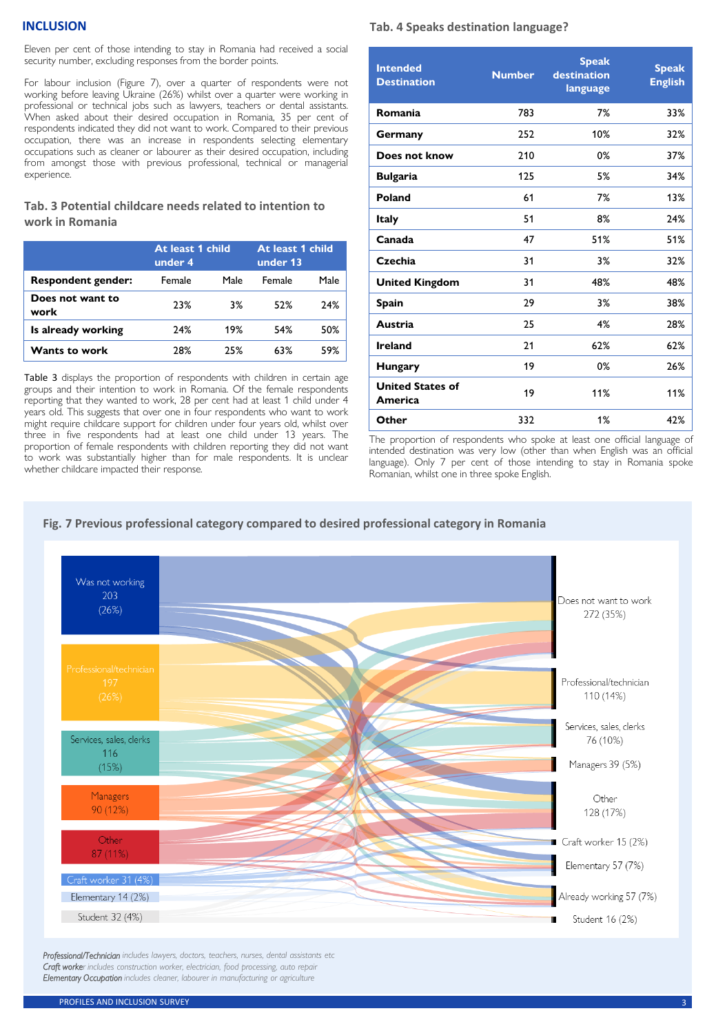#### **INCLUSION**

Eleven per cent of those intending to stay in Romania had received a social security number, excluding responses from the border points.

For labour inclusion (Figure 7), over a quarter of respondents were not working before leaving Ukraine (26%) whilst over a quarter were working in professional or technical jobs such as lawyers, teachers or dental assistants. When asked about their desired occupation in Romania, 35 per cent of respondents indicated they did not want to work. Compared to their previous occupation, there was an increase in respondents selecting elementary occupations such as cleaner or labourer as their desired occupation, including from amongst those with previous professional, technical or managerial experience.

# **Tab. 3 Potential childcare needs related to intention to work in Romania**

|                           | At least 1 child<br>under 4 |      | At least 1 child<br>under 13 |      |
|---------------------------|-----------------------------|------|------------------------------|------|
| <b>Respondent gender:</b> | Female                      | Male | Female                       | Male |
| Does not want to<br>work  | 23%                         | 3%   | 52%                          | 24%  |
| Is already working        | 24%                         | 19%  | 54%                          | 50%  |
| Wants to work             | 28%                         | 25%  | 63%                          | 59%  |

Table 3 displays the proportion of respondents with children in certain age groups and their intention to work in Romania. Of the female respondents reporting that they wanted to work, 28 per cent had at least 1 child under 4 years old. This suggests that over one in four respondents who want to work might require childcare support for children under four years old, whilst over three in five respondents had at least one child under 13 years. The proportion of female respondents with children reporting they did not want to work was substantially higher than for male respondents. It is unclear whether childcare impacted their response.

# **Tab. 4 Speaks destination language?**

| <b>Intended</b><br><b>Destination</b> | <b>Number</b> | <b>Speak</b><br>destination<br>language | <b>Speak</b><br><b>English</b> |
|---------------------------------------|---------------|-----------------------------------------|--------------------------------|
| Romania                               | 783           | 7%                                      | 33%                            |
| Germany                               | 252           | 10%                                     | 32%                            |
| Does not know                         | 210           | 0%                                      | 37%                            |
| <b>Bulgaria</b>                       | 125           | 5%                                      | 34%                            |
| Poland                                | 61            | 7%                                      | 13%                            |
| <b>Italy</b>                          | 51            | 8%                                      | 24%                            |
| Canada                                | 47            | 51%                                     | 51%                            |
| Czechia                               | 31            | 3%                                      | 32%                            |
| <b>United Kingdom</b>                 | 31            | 48%                                     | 48%                            |
| Spain                                 | 29            | 3%                                      | 38%                            |
| Austria                               | 25            | 4%                                      | 28%                            |
| <b>Ireland</b>                        | 21            | 62%                                     | 62%                            |
| <b>Hungary</b>                        | 19            | 0%                                      | 26%                            |
| <b>United States of</b><br>America    | 19            | 11%                                     | 11%                            |
| Other                                 | 332           | 1%                                      | 42%                            |

The proportion of respondents who spoke at least one official language of intended destination was very low (other than when English was an official language). Only 7 per cent of those intending to stay in Romania spoke Romanian, whilst one in three spoke English.



*Professional/Technician includes lawyers, doctors, teachers, nurses, dental assistants etc Craft worker includes construction worker, electrician, food processing, auto repair Elementary Occupation includes cleaner, labourer in manufacturing or agriculture*

# **Fig. 7 Previous professional category compared to desired professional category in Romania**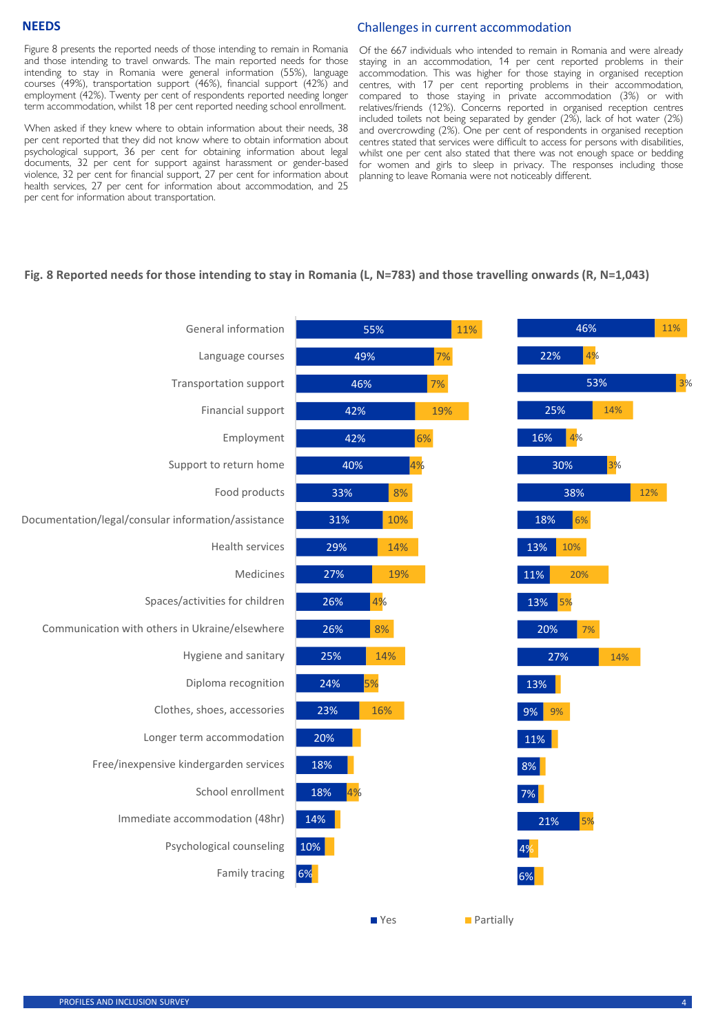#### Challenges in current accommodation

Figure 8 presents the reported needs of those intending to remain in Romania and those intending to travel onwards. The main reported needs for those intending to stay in Romania were general information (55%), language courses (49%), transportation support (46%), financial support (42%) and employment (42%). Twenty per cent of respondents reported needing longer term accommodation, whilst 18 per cent reported needing school enrollment.

When asked if they knew where to obtain information about their needs, 38 per cent reported that they did not know where to obtain information about psychological support, 36 per cent for obtaining information about legal documents, 32 per cent for support against harassment or gender-based violence, 32 per cent for financial support, 27 per cent for information about health services, 27 per cent for information about accommodation, and 25 per cent for information about transportation.

Of the 667 individuals who intended to remain in Romania and were already staying in an accommodation, 14 per cent reported problems in their accommodation. This was higher for those staying in organised reception centres, with 17 per cent reporting problems in their accommodation, compared to those staying in private accommodation (3%) or with relatives/friends (12%). Concerns reported in organised reception centres included toilets not being separated by gender (2%), lack of hot water (2%) and overcrowding (2%). One per cent of respondents in organised reception centres stated that services were difficult to access for persons with disabilities, whilst one per cent also stated that there was not enough space or bedding for women and girls to sleep in privacy. The responses including those planning to leave Romania were not noticeably different.

# **Fig. 8 Reported needs for those intending to stay in Romania (L, N=783) and those travelling onwards (R, N=1,043)**